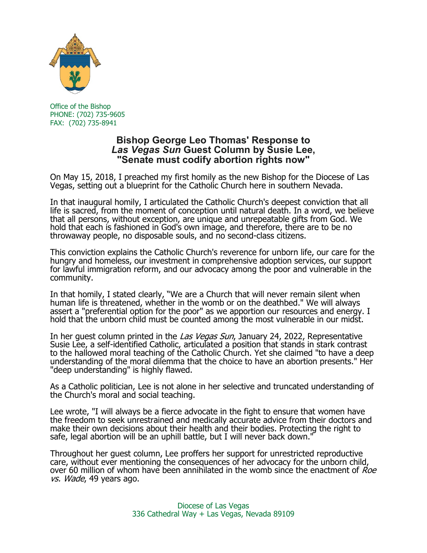

 Office of the Bishop PHONE: (702) 735-9605 FAX: (702) 735-8941

## **Bishop George Leo Thomas' Response to** *Las Vegas Sun* **Guest Column by Susie Lee, "Senate must codify abortion rights now"**

On May 15, 2018, I preached my first homily as the new Bishop for the Diocese of Las Vegas, setting out a blueprint for the Catholic Church here in southern Nevada.

In that inaugural homily, I articulated the Catholic Church's deepest conviction that all life is sacred, from the moment of conception until natural death. In a word, we believe that all persons, without exception, are unique and unrepeatable gifts from God. We hold that each is fashioned in God's own image, and therefore, there are to be no throwaway people, no disposable souls, and no second-class citizens.

This conviction explains the Catholic Church's reverence for unborn life, our care for the hungry and homeless, our investment in comprehensive adoption services, our support for lawful immigration reform, and our advocacy among the poor and vulnerable in the community.

In that homily, I stated clearly, "We are a Church that will never remain silent when human life is threatened, whether in the womb or on the deathbed." We will always assert a "preferential option for the poor" as we apportion our resources and energy. I hold that the unborn child must be counted among the most vulnerable in our midst.

In her quest column printed in the Las Vegas Sun, January 24, 2022, Representative Susie Lee, a self-identified Catholic, articulated a position that stands in stark contrast to the hallowed moral teaching of the Catholic Church. Yet she claimed "to have a deep understanding of the moral dilemma that the choice to have an abortion presents." Her "deep understanding" is highly flawed.

As a Catholic politician, Lee is not alone in her selective and truncated understanding of the Church's moral and social teaching.

Lee wrote, "I will always be a fierce advocate in the fight to ensure that women have the freedom to seek unrestrained and medically accurate advice from their doctors and make their own decisions about their health and their bodies. Protecting the right to safe, legal abortion will be an uphill battle, but I will never back down."

Throughout her guest column, Lee proffers her support for unrestricted reproductive care, without ever mentioning the consequences of her advocacy for the unborn child, over 60 million of whom have been annihilated in the womb since the enactment of Roe vs. Wade, 49 years ago.